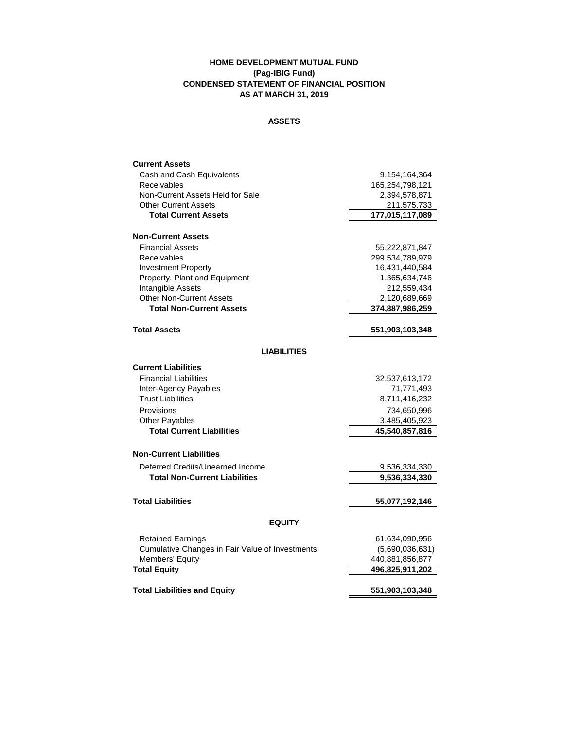## **HOME DEVELOPMENT MUTUAL FUND (Pag-IBIG Fund) CONDENSED STATEMENT OF FINANCIAL POSITION AS AT MARCH 31, 2019**

### **ASSETS**

| <b>Current Assets</b>                             |                             |  |  |
|---------------------------------------------------|-----------------------------|--|--|
| Cash and Cash Equivalents                         | 9,154,164,364               |  |  |
| Receivables                                       | 165,254,798,121             |  |  |
| Non-Current Assets Held for Sale                  | 2,394,578,871               |  |  |
| <b>Other Current Assets</b>                       | 211,575,733                 |  |  |
| <b>Total Current Assets</b>                       | 177,015,117,089             |  |  |
| <b>Non-Current Assets</b>                         |                             |  |  |
| <b>Financial Assets</b>                           | 55,222,871,847              |  |  |
| Receivables                                       | 299,534,789,979             |  |  |
| <b>Investment Property</b>                        | 16,431,440,584              |  |  |
| Property, Plant and Equipment                     | 1,365,634,746               |  |  |
| Intangible Assets                                 | 212,559,434                 |  |  |
| <b>Other Non-Current Assets</b>                   | 2,120,689,669               |  |  |
| <b>Total Non-Current Assets</b>                   | 374,887,986,259             |  |  |
| <b>Total Assets</b>                               | 551,903,103,348             |  |  |
| <b>LIABILITIES</b>                                |                             |  |  |
| <b>Current Liabilities</b>                        |                             |  |  |
| <b>Financial Liabilities</b>                      |                             |  |  |
|                                                   | 32,537,613,172              |  |  |
| Inter-Agency Payables<br><b>Trust Liabilities</b> | 71,771,493<br>8,711,416,232 |  |  |
|                                                   |                             |  |  |
| Provisions                                        | 734,650,996                 |  |  |
| <b>Other Payables</b>                             | 3,485,405,923               |  |  |
| <b>Total Current Liabilities</b>                  | 45,540,857,816              |  |  |
| <b>Non-Current Liabilities</b>                    |                             |  |  |
| Deferred Credits/Unearned Income                  | 9,536,334,330               |  |  |
| <b>Total Non-Current Liabilities</b>              | 9,536,334,330               |  |  |
| <b>Total Liabilities</b>                          | 55,077,192,146              |  |  |
| <b>EQUITY</b>                                     |                             |  |  |
| <b>Retained Earnings</b>                          | 61,634,090,956              |  |  |
| Cumulative Changes in Fair Value of Investments   | (5,690,036,631)             |  |  |
| Members' Equity                                   | 440,881,856,877             |  |  |
| <b>Total Equity</b>                               | 496,825,911,202             |  |  |
| <b>Total Liabilities and Equity</b>               | 551,903,103,348             |  |  |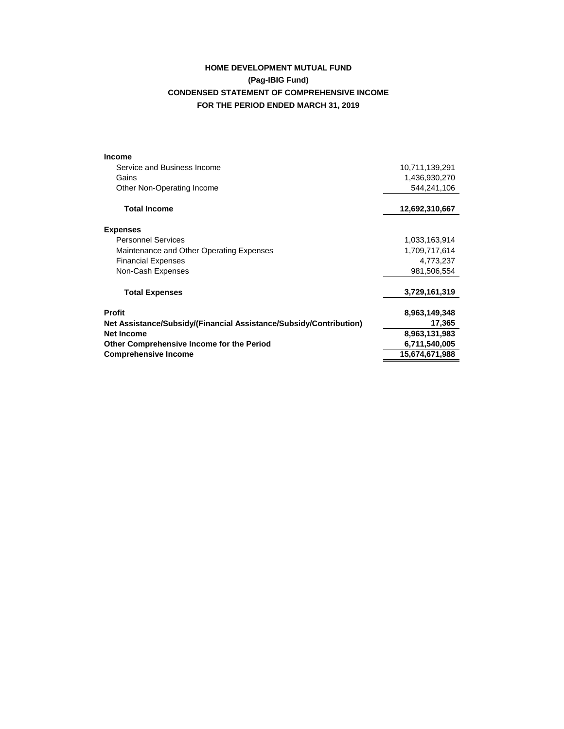# **HOME DEVELOPMENT MUTUAL FUND (Pag-IBIG Fund) CONDENSED STATEMENT OF COMPREHENSIVE INCOME FOR THE PERIOD ENDED MARCH 31, 2019**

| <b>Income</b>                                                      |                |
|--------------------------------------------------------------------|----------------|
| Service and Business Income                                        | 10,711,139,291 |
| Gains                                                              | 1,436,930,270  |
| Other Non-Operating Income                                         | 544,241,106    |
| <b>Total Income</b>                                                | 12,692,310,667 |
| <b>Expenses</b>                                                    |                |
| <b>Personnel Services</b>                                          | 1,033,163,914  |
| Maintenance and Other Operating Expenses                           | 1,709,717,614  |
| <b>Financial Expenses</b>                                          | 4,773,237      |
| Non-Cash Expenses                                                  | 981,506,554    |
| <b>Total Expenses</b>                                              | 3,729,161,319  |
| <b>Profit</b>                                                      | 8,963,149,348  |
| Net Assistance/Subsidy/(Financial Assistance/Subsidy/Contribution) | 17,365         |
| <b>Net Income</b>                                                  | 8,963,131,983  |
| Other Comprehensive Income for the Period                          | 6,711,540,005  |
| <b>Comprehensive Income</b>                                        | 15,674,671,988 |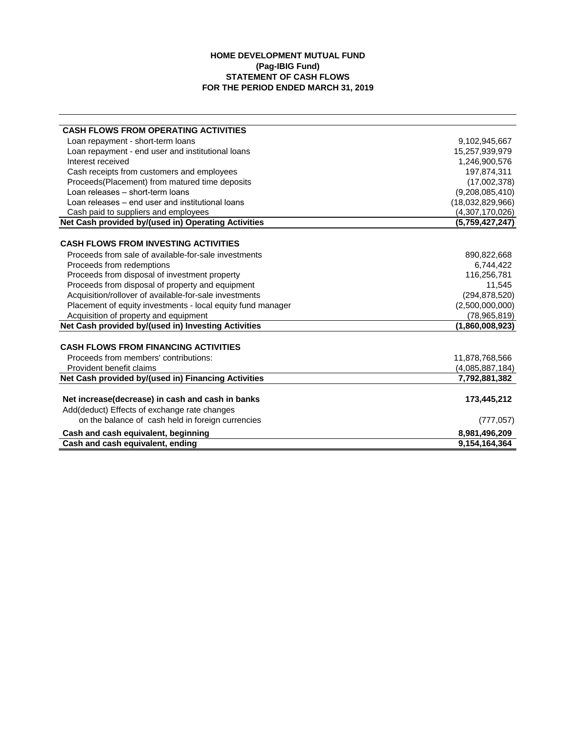## **HOME DEVELOPMENT MUTUAL FUND (Pag-IBIG Fund) STATEMENT OF CASH FLOWS FOR THE PERIOD ENDED MARCH 31, 2019**

| 9,102,945,667    |
|------------------|
| 15,257,939,979   |
| 1,246,900,576    |
| 197,874,311      |
| (17,002,378)     |
| (9,208,085,410)  |
| (18,032,829,966) |
| (4,307,170,026)  |
| (5,759,427,247)  |
|                  |
| 890,822,668      |
| 6,744,422        |
| 116,256,781      |
| 11,545           |
| (294, 878, 520)  |
| (2,500,000,000)  |
| (78,965,819)     |
| (1,860,008,923)  |
|                  |
| 11,878,768,566   |
| (4,085,887,184)  |
| 7,792,881,382    |
| 173,445,212      |
|                  |
| (777, 057)       |
| 8,981,496,209    |
| 9,154,164,364    |
|                  |